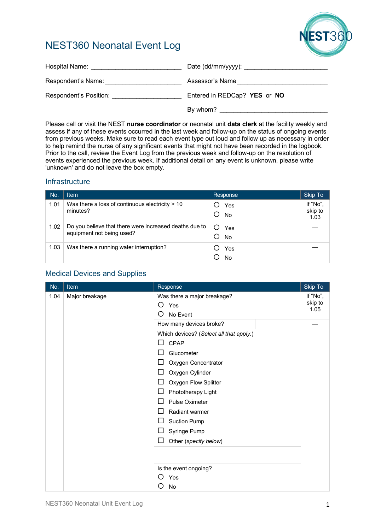# NEST360 Neonatal Event Log



| Hospital Name:         |                              |
|------------------------|------------------------------|
| Respondent's Name:     | Assessor's Name              |
| Respondent's Position: | Entered in REDCap? YES or NO |
|                        | By whom?                     |

Please call or visit the NEST **nurse coordinator** or neonatal unit **data clerk** at the facility weekly and assess if any of these events occurred in the last week and follow-up on the status of ongoing events from previous weeks. Make sure to read each event type out loud and follow up as necessary in order to help remind the nurse of any significant events that might not have been recorded in the logbook. Prior to the call, review the Event Log from the previous week and follow-up on the resolution of events experienced the previous week. If additional detail on any event is unknown, please write 'unknown' and do not leave the box empty.

# **Infrastructure**

| No.  | <b>Item</b>                                                                         | Response         | Skip To                     |
|------|-------------------------------------------------------------------------------------|------------------|-----------------------------|
| 1.01 | Was there a loss of continuous electricity $> 10$<br>minutes?                       | Yes<br><b>No</b> | If "No",<br>skip to<br>1.03 |
| 1.02 | Do you believe that there were increased deaths due to<br>equipment not being used? | Yes<br><b>No</b> |                             |
| 1.03 | Was there a running water interruption?                                             | Yes<br>No        |                             |

# Medical Devices and Supplies

| No.  | Item           | Response                                                 | <b>Skip To</b>              |
|------|----------------|----------------------------------------------------------|-----------------------------|
| 1.04 | Major breakage | Was there a major breakage?<br>O<br>Yes<br>O<br>No Event | If "No",<br>skip to<br>1.05 |
|      |                | How many devices broke?                                  |                             |
|      |                | Which devices? (Select all that apply.)<br>CPAP<br>П     |                             |
|      |                | Glucometer                                               |                             |
|      |                | Oxygen Concentrator<br>ΙI                                |                             |
|      |                | Oxygen Cylinder                                          |                             |
|      |                | Oxygen Flow Splitter<br>⊔                                |                             |
|      |                | Phototherapy Light<br>⊔                                  |                             |
|      |                | <b>Pulse Oximeter</b><br>ΙI                              |                             |
|      |                | Radiant warmer<br>ΙI                                     |                             |
|      |                | <b>Suction Pump</b><br>⊔                                 |                             |
|      |                | Syringe Pump<br>ப                                        |                             |
|      |                | ⊔<br>Other (specify below)                               |                             |
|      |                |                                                          |                             |
|      |                | Is the event ongoing?                                    |                             |
|      |                | Yes<br>( )                                               |                             |
|      |                | No<br>〔 〕                                                |                             |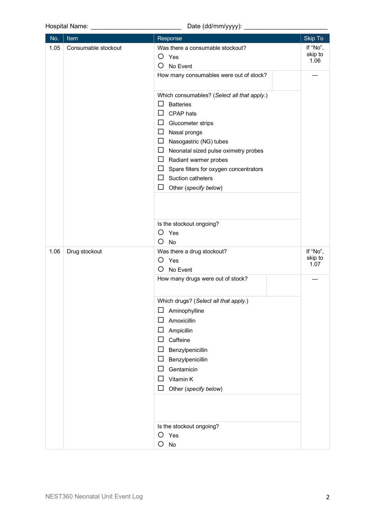|                             | Hospital Name: ________                                                                                 | Date (dd/mm/yyyy): ________                                                                                                                                                                                                                                                                                                                                            |                             |
|-----------------------------|---------------------------------------------------------------------------------------------------------|------------------------------------------------------------------------------------------------------------------------------------------------------------------------------------------------------------------------------------------------------------------------------------------------------------------------------------------------------------------------|-----------------------------|
| No.                         | <b>Item</b>                                                                                             | Response                                                                                                                                                                                                                                                                                                                                                               | Skip To                     |
| 1.05<br>Consumable stockout | Was there a consumable stockout?<br>$O$ Yes<br>O<br>No Event<br>How many consumables were out of stock? | If "No",<br>skip to<br>1.06                                                                                                                                                                                                                                                                                                                                            |                             |
|                             |                                                                                                         | Which consumables? (Select all that apply.)<br>□<br><b>Batteries</b><br>$\Box$ CPAP hats<br>$\Box$ Glucometer strips<br>$\Box$ Nasal prongs<br>$\Box$ Nasogastric (NG) tubes<br>$\Box$ Neonatal sized pulse oximetry probes<br>$\Box$ Radiant warmer probes<br>$\Box$ Spare filters for oxygen concentrators<br>$\Box$ Suction catheters<br>□<br>Other (specify below) |                             |
| 1.06                        | Drug stockout                                                                                           | Is the stockout ongoing?<br>O<br>Yes<br>O<br>No<br>Was there a drug stockout?<br>O<br>Yes                                                                                                                                                                                                                                                                              | If "No",<br>skip to<br>1.07 |
|                             |                                                                                                         | O<br>No Event<br>How many drugs were out of stock?                                                                                                                                                                                                                                                                                                                     |                             |
|                             |                                                                                                         | Which drugs? (Select all that apply.)<br>$\Box$<br>Aminophylline<br>□<br>Amoxicillin<br>$\Box$<br>Ampicillin<br>Caffeine<br>□<br>Benzylpenicillin<br>$\Box$<br>□<br>Benzylpenicillin<br>Gentamicin<br>□<br>Vitamin K<br>□<br>□<br>Other (specify below)                                                                                                                |                             |
|                             |                                                                                                         | Is the stockout ongoing?<br>O<br>Yes<br>O<br>No                                                                                                                                                                                                                                                                                                                        |                             |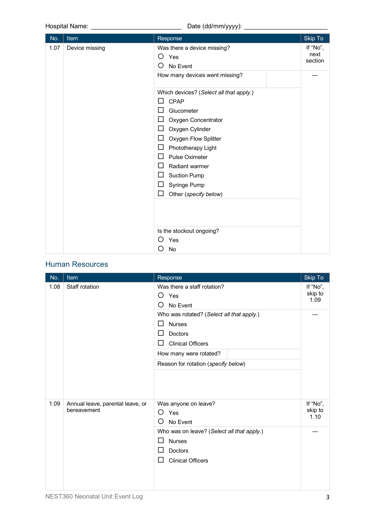Hospital Name: \_\_\_\_\_\_\_\_\_\_\_\_\_\_\_\_\_\_\_\_\_\_\_\_\_\_ Date (dd/mm/yyyy): \_\_\_\_\_\_\_\_\_\_\_\_\_\_\_\_\_\_\_\_\_\_\_\_

| No.  | Item           | Response                                                                                                                                                                                                                                                                                                                                                                                                                                                   | Skip To                     |
|------|----------------|------------------------------------------------------------------------------------------------------------------------------------------------------------------------------------------------------------------------------------------------------------------------------------------------------------------------------------------------------------------------------------------------------------------------------------------------------------|-----------------------------|
| 1.07 | Device missing | Was there a device missing?<br>O<br>Yes<br>Ω<br>No Event<br>How many devices went missing?<br>Which devices? (Select all that apply.)<br><b>CPAP</b><br>$\Box$<br>Glucometer<br>$\Box$<br>□<br>Oxygen Concentrator<br>$\Box$<br>Oxygen Cylinder<br>Oxygen Flow Splitter<br>$\Box$<br>□<br>Phototherapy Light<br>□<br><b>Pulse Oximeter</b><br>□<br>Radiant warmer<br>$\Box$<br><b>Suction Pump</b><br>$\Box$<br>Syringe Pump<br>□<br>Other (specify below) | If "No",<br>next<br>section |
|      |                | Is the stockout ongoing?<br>O<br>Yes<br>No<br>〔 〕                                                                                                                                                                                                                                                                                                                                                                                                          |                             |

### Human Resources

| No.  | <u>Item</u>                                     | Response                                                                                                                                                                | Skip To                     |
|------|-------------------------------------------------|-------------------------------------------------------------------------------------------------------------------------------------------------------------------------|-----------------------------|
| 1.08 | Staff rotation                                  | Was there a staff rotation?<br>Yes<br>O<br>O<br>No Event                                                                                                                | If "No",<br>skip to<br>1.09 |
|      |                                                 | Who was rotated? (Select all that apply.)<br><b>Nurses</b><br>П<br>Doctors<br><b>Clinical Officers</b><br>How many were rotated?<br>Reason for rotation (specify below) |                             |
| 1.09 | Annual leave, parental leave, or<br>bereavement | Was anyone on leave?<br>O<br>Yes<br>∩<br>No Event<br>Who was on leave? (Select all that apply.)<br><b>Nurses</b><br>ΙI<br>Doctors                                       | If "No",<br>skip to<br>1.10 |
|      |                                                 | <b>Clinical Officers</b><br>ΙI                                                                                                                                          |                             |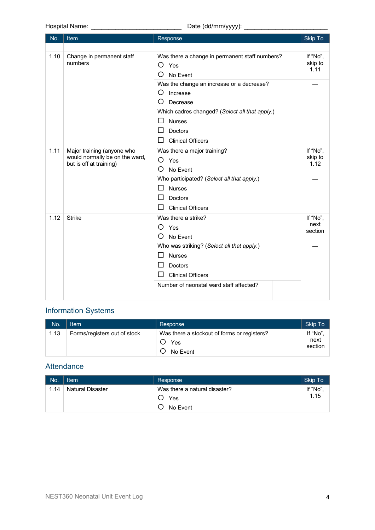Hospital Name: \_\_\_\_\_\_\_\_\_\_\_\_\_\_\_\_\_\_\_\_\_\_\_\_\_\_ Date (dd/mm/yyyy): \_\_\_\_\_\_\_\_\_\_\_\_\_\_\_\_\_\_\_\_\_\_\_\_

| No.  | Item                                                                                    | Response                                                                                                                                                                    | <b>Skip To</b>              |
|------|-----------------------------------------------------------------------------------------|-----------------------------------------------------------------------------------------------------------------------------------------------------------------------------|-----------------------------|
|      |                                                                                         |                                                                                                                                                                             |                             |
| 1.10 | Change in permanent staff<br>numbers                                                    | Was there a change in permanent staff numbers?<br>O<br>Yes<br>O<br>No Event                                                                                                 | If "No".<br>skip to<br>1.11 |
|      |                                                                                         | Was the change an increase or a decrease?<br>O<br>Increase<br>O<br>Decrease<br>Which cadres changed? (Select all that apply.)                                               |                             |
|      |                                                                                         | $\Box$<br><b>Nurses</b><br>ΙI<br>Doctors<br>ΙI<br><b>Clinical Officers</b>                                                                                                  |                             |
| 1.11 | Major training (anyone who<br>would normally be on the ward,<br>but is off at training) | Was there a major training?<br>O<br>Yes<br>O<br>No Event                                                                                                                    | If "No",<br>skip to<br>1.12 |
|      |                                                                                         | Who participated? (Select all that apply.)<br>ΙI<br><b>Nurses</b><br>ΙI<br><b>Doctors</b><br>ΙI<br><b>Clinical Officers</b>                                                 |                             |
| 1.12 | <b>Strike</b>                                                                           | Was there a strike?<br>O<br>Yes<br>O<br>No Event                                                                                                                            | If "No",<br>next<br>section |
|      |                                                                                         | Who was striking? (Select all that apply.)<br>ΙI<br><b>Nurses</b><br>Doctors<br>ΙI<br><b>Clinical Officers</b><br>$\overline{a}$<br>Number of neonatal ward staff affected? |                             |

# Information Systems

| No.  | <b>Item</b>                  | Response                                                       | Skip To                    |
|------|------------------------------|----------------------------------------------------------------|----------------------------|
| 1.13 | Forms/registers out of stock | Was there a stockout of forms or registers?<br>Yes<br>No Event | If "No"<br>next<br>section |

# **Attendance**

| No.  | Item                    | Response                                         | Skip To         |
|------|-------------------------|--------------------------------------------------|-----------------|
| 1.14 | <b>Natural Disaster</b> | Was there a natural disaster?<br>Yes<br>No Event | If "No"<br>1.15 |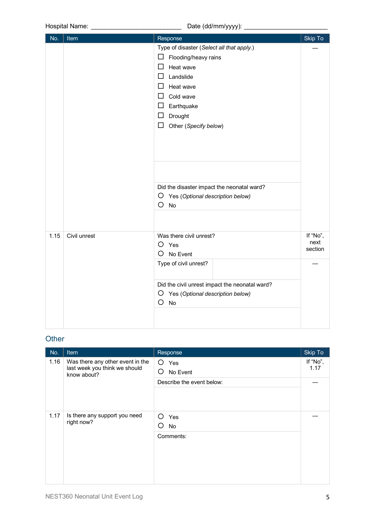| No.  | Item         | Response                                       | Skip To          |
|------|--------------|------------------------------------------------|------------------|
|      |              | Type of disaster (Select all that apply.)      |                  |
|      |              | □<br>Flooding/heavy rains                      |                  |
|      |              | $\Box$<br>Heat wave                            |                  |
|      |              | Landslide<br>П                                 |                  |
|      |              | Heat wave<br>$\Box$                            |                  |
|      |              | Cold wave<br>ΙI                                |                  |
|      |              | $\Box$ Earthquake                              |                  |
|      |              | Drought<br>□                                   |                  |
|      |              | Other (Specify below)<br>□                     |                  |
|      |              |                                                |                  |
|      |              |                                                |                  |
|      |              |                                                |                  |
|      |              |                                                |                  |
|      |              |                                                |                  |
|      |              | Did the disaster impact the neonatal ward?     |                  |
|      |              | O<br>Yes (Optional description below)          |                  |
|      |              | O<br>No                                        |                  |
|      |              |                                                |                  |
|      |              |                                                |                  |
| 1.15 | Civil unrest | Was there civil unrest?<br>O<br>Yes            | If "No",<br>next |
|      |              | O<br>No Event                                  | section          |
|      |              | Type of civil unrest?                          |                  |
|      |              |                                                |                  |
|      |              | Did the civil unrest impact the neonatal ward? |                  |
|      |              | O<br>Yes (Optional description below)          |                  |
|      |              | O<br>No                                        |                  |
|      |              |                                                |                  |
|      |              |                                                |                  |
|      |              |                                                |                  |

### **Other**

| No.  | Item                                                                             | Response                           | Skip To          |
|------|----------------------------------------------------------------------------------|------------------------------------|------------------|
| 1.16 | Was there any other event in the<br>last week you think we should<br>know about? | O<br>Yes<br>O<br>No Event          | If "No",<br>1.17 |
|      |                                                                                  | Describe the event below:          |                  |
| 1.17 | Is there any support you need<br>right now?                                      | ∩<br>Yes<br>No<br>( )<br>Comments: |                  |